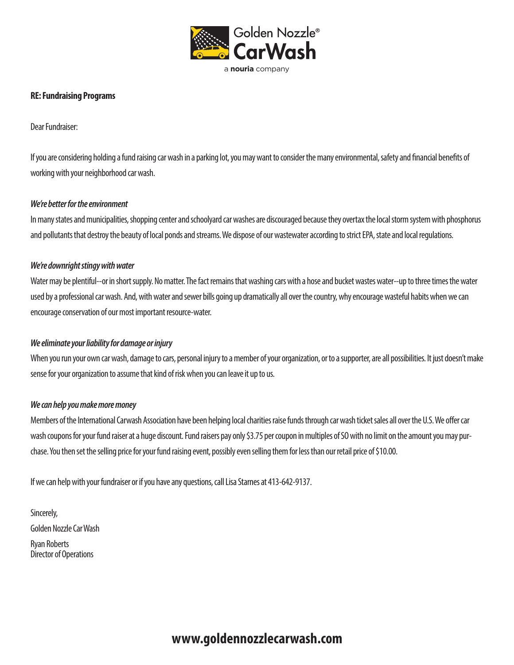

## **RE: Fundraising Programs**

Dear Fundraiser:

If you are considering holding a fund raising car wash in a parking lot, you may want to consider the many environmental, safety and financial benefits of working with your neighborhood car wash.

### *We're better for the environment*

In many states and municipalities, shopping center and schoolyard car washes are discouraged because they overtax the local storm system with phosphorus and pollutants that destroy the beauty of local ponds and streams. We dispose of our wastewater according to strict EPA, state and local regulations.

### *We're downright stingy with water*

Water may be plentiful--or in short supply. No matter. The fact remains that washing cars with a hose and bucket wastes water--up to three times the water used by a professional car wash. And, with water and sewer bills going up dramatically all over the country, why encourage wasteful habits when we can encourage conservation of our most important resource-water.

## *We eliminate your liability for damage or injury*

When you run your own car wash, damage to cars, personal injury to a member of your organization, or to a supporter, are all possibilities. It just doesn't make sense for your organization to assume that kind of risk when you can leave it up to us.

#### *We can help you make more money*

Members of the International Carwash Association have been helping local charities raise funds through car wash ticket sales all over the U.S. We offer car wash coupons for your fund raiser at a huge discount. Fund raisers pay only \$3.75 per coupon in multiples of SO with no limit on the amount you may purchase. You then set the selling price for your fund raising event, possibly even selling them for less than our retail price of \$10.00.

If we can help with your fundraiser or if you have any questions, call Lisa Starnes at 413-642-9137.

Sincerely, Golden Nozzle Car Wash Ryan Roberts Director of Operations